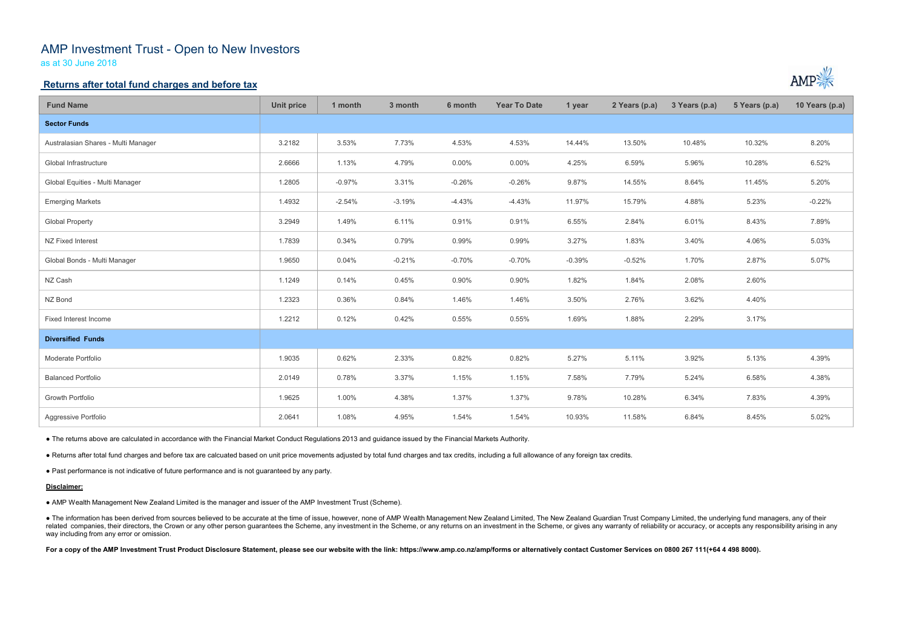# AMP Investment Trust - Open to New Investors

as at 30 June 2018

## **Returns after total fund charges and before tax**

| <b>Fund Name</b>                    | <b>Unit price</b> | 1 month  | 3 month  | 6 month  | <b>Year To Date</b> | 1 year   | 2 Years (p.a) | 3 Years (p.a) | 5 Years (p.a) | 10 Years (p.a) |
|-------------------------------------|-------------------|----------|----------|----------|---------------------|----------|---------------|---------------|---------------|----------------|
| <b>Sector Funds</b>                 |                   |          |          |          |                     |          |               |               |               |                |
| Australasian Shares - Multi Manager | 3.2182            | 3.53%    | 7.73%    | 4.53%    | 4.53%               | 14.44%   | 13.50%        | 10.48%        | 10.32%        | 8.20%          |
| Global Infrastructure               | 2.6666            | 1.13%    | 4.79%    | $0.00\%$ | 0.00%               | 4.25%    | 6.59%         | 5.96%         | 10.28%        | 6.52%          |
| Global Equities - Multi Manager     | 1.2805            | $-0.97%$ | 3.31%    | $-0.26%$ | $-0.26%$            | 9.87%    | 14.55%        | 8.64%         | 11.45%        | 5.20%          |
| <b>Emerging Markets</b>             | 1.4932            | $-2.54%$ | $-3.19%$ | $-4.43%$ | $-4.43%$            | 11.97%   | 15.79%        | 4.88%         | 5.23%         | $-0.22%$       |
| <b>Global Property</b>              | 3.2949            | 1.49%    | 6.11%    | 0.91%    | 0.91%               | 6.55%    | 2.84%         | 6.01%         | 8.43%         | 7.89%          |
| NZ Fixed Interest                   | 1.7839            | 0.34%    | 0.79%    | 0.99%    | 0.99%               | 3.27%    | 1.83%         | 3.40%         | 4.06%         | 5.03%          |
| Global Bonds - Multi Manager        | 1.9650            | 0.04%    | $-0.21%$ | $-0.70%$ | $-0.70%$            | $-0.39%$ | $-0.52%$      | 1.70%         | 2.87%         | 5.07%          |
| NZ Cash                             | 1.1249            | 0.14%    | 0.45%    | 0.90%    | 0.90%               | 1.82%    | 1.84%         | 2.08%         | 2.60%         |                |
| NZ Bond                             | 1.2323            | 0.36%    | 0.84%    | 1.46%    | 1.46%               | 3.50%    | 2.76%         | 3.62%         | 4.40%         |                |
| Fixed Interest Income               | 1.2212            | 0.12%    | 0.42%    | 0.55%    | 0.55%               | 1.69%    | 1.88%         | 2.29%         | 3.17%         |                |
| <b>Diversified Funds</b>            |                   |          |          |          |                     |          |               |               |               |                |
| Moderate Portfolio                  | 1.9035            | 0.62%    | 2.33%    | 0.82%    | 0.82%               | 5.27%    | 5.11%         | 3.92%         | 5.13%         | 4.39%          |
| <b>Balanced Portfolio</b>           | 2.0149            | 0.78%    | 3.37%    | 1.15%    | 1.15%               | 7.58%    | 7.79%         | 5.24%         | 6.58%         | 4.38%          |
| <b>Growth Portfolio</b>             | 1.9625            | 1.00%    | 4.38%    | 1.37%    | 1.37%               | 9.78%    | 10.28%        | 6.34%         | 7.83%         | 4.39%          |
| Aggressive Portfolio                | 2.0641            | 1.08%    | 4.95%    | 1.54%    | 1.54%               | 10.93%   | 11.58%        | 6.84%         | 8.45%         | 5.02%          |

● The information has been derived from sources believed to be accurate at the time of issue, however, none of AMP Wealth Management New Zealand Limited, The New Zealand Guardian Trust Company Limited, the underlying fund related companies, their directors, the Crown or any other person guarantees the Scheme, any investment in the Scheme, or any returns on an investment in the Scheme, or gives any warranty of reliability or accuracy, or acc way including from any error or omission.

For a copy of the AMP Investment Trust Product Disclosure Statement, please see our website with the link: https://www.amp.co.nz/amp/forms or alternatively contact Customer Services on 0800 267 111(+64 4 498 8000).



● The returns above are calculated in accordance with the Financial Market Conduct Regulations 2013 and guidance issued by the Financial Markets Authority.

● Returns after total fund charges and before tax are calcuated based on unit price movements adjusted by total fund charges and tax credits, including a full allowance of any foreign tax credits.

● Past performance is not indicative of future performance and is not guaranteed by any party.

### **Disclaimer:**

● AMP Wealth Management New Zealand Limited is the manager and issuer of the AMP Investment Trust (Scheme).